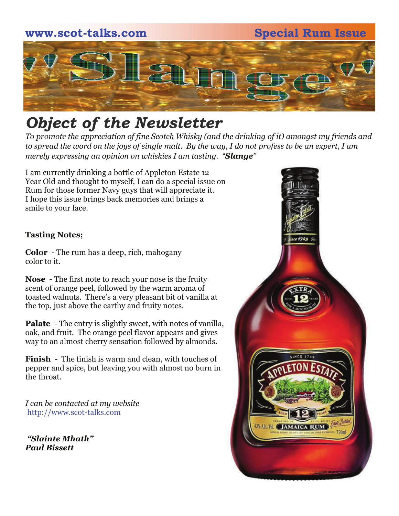

## *Object of the Newsletter*

*To promote the appreciation of fine Scotch Whisky (and the drinking of it) amongst my friends and to spread the word on the joys of single malt. By the way, I do not profess to be an expert, I am merely expressing an opinion on whiskies I am tasting. "Slange"* 

I am currently drinking a bottle of Appleton Estate 12 Year Old and thought to myself, I can do a special issue on Rum for those former Navy guys that will appreciate it. I hope this issue brings back memories and brings a smile to your face.

#### **Tasting Notes;**

**Color** - The rum has a deep, rich, mahogany color to it.

**Nose** - The first note to reach your nose is the fruity scent of orange peel, followed by the warm aroma of toasted walnuts. There's a very pleasant bit of vanilla at the top, just above the earthy and fruity notes.

**Palate** - The entry is slightly sweet, with notes of vanilla, oak, and fruit. The orange peel flavor appears and gives way to an almost cherry sensation followed by almonds.

**Finish** - The finish is warm and clean, with touches of pepper and spice, but leaving you with almost no burn in the throat.

*I can be contacted at my website*  http://www.scot-talks.com

*"Slainte Mhath" Paul Bissett* 

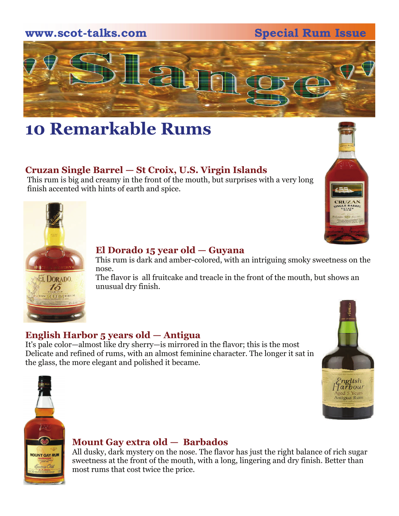

## **10 Remarkable Rums**

## **Cruzan Single Barrel — St Croix, U.S. Virgin Islands**

 This rum is big and creamy in the front of the mouth, but surprises with a very long finish accented with hints of earth and spice.





#### **El Dorado 15 year old — Guyana**

 This rum is dark and amber-colored, with an intriguing smoky sweetness on the nose.

EL DORADO The flavor is all fruitcake and treacle in the front of the mouth, but shows an  $15$  unusual dry finish.

## **English Harbor 5 years old — Antigua**

It's pale color—almost like dry sherry—is mirrored in the flavor; this is the most Delicate and refined of rums, with an almost feminine character. The longer it sat in the glass, the more elegant and polished it became.





#### **Mount Gay extra old — Barbados**

MOUNT GAY RUM All dusky, dark mystery on the nose. The flavor has just the right balance of rich sugar sweetness at the front of the mouth, with a long, lingering and dry finish. Better than most rums that cost twice the price.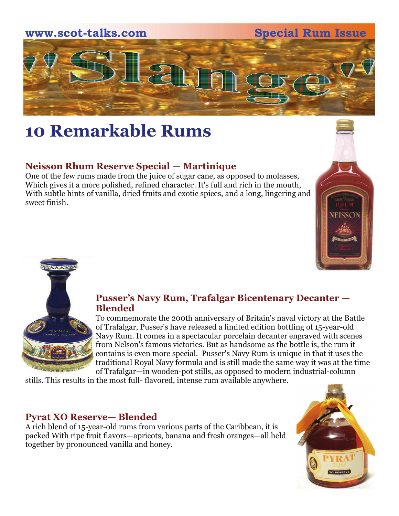

## **10 Remarkable Rums**

## **Neisson Rhum Reserve Special — Martinique**

One of the few rums made from the juice of sugar cane, as opposed to molasses, Which gives it a more polished, refined character. It's full and rich in the mouth, With subtle hints of vanilla, dried fruits and exotic spices, and a long, lingering and sweet finish.





#### **Pusser's Navy Rum, Trafalgar Bicentenary Decanter — Blended**

 To commemorate the 200th anniversary of Britain's naval victory at the Battle of Trafalgar, Pusser's have released a limited edition bottling of 15-year-old Navy Rum. It comes in a spectacular porcelain decanter engraved with scenes from Nelson's famous victories. But as handsome as the bottle is, the rum it contains is even more special. Pusser's Navy Rum is unique in that it uses the traditional Royal Navy formula and is still made the same way it was at the time of Trafalgar—in wooden-pot stills, as opposed to modern industrial-column

stills. This results in the most full- flavored, intense rum available anywhere.

### **Pyrat XO Reserve— Blended**

A rich blend of 15-year-old rums from various parts of the Caribbean, it is packed With ripe fruit flavors—apricots, banana and fresh oranges—all held together by pronounced vanilla and honey.